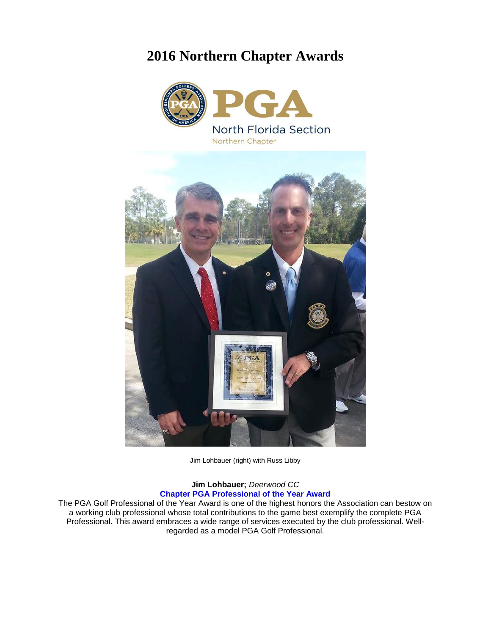# **2016 Northern Chapter Awards**





Jim Lohbauer (right) with Russ Libby

#### **Jim Lohbauer;** *Deerwood CC* **Chapter PGA Professional of the Year Award**

The PGA Golf Professional of the Year Award is one of the highest honors the Association can bestow on a working club professional whose total contributions to the game best exemplify the complete PGA Professional. This award embraces a wide range of services executed by the club professional. Wellregarded as a model PGA Golf Professional.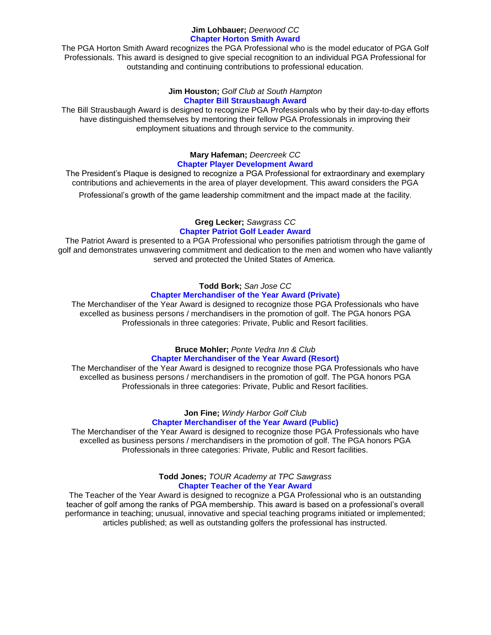#### **Jim Lohbauer;** *Deerwood CC* **Chapter Horton Smith Award**

The PGA Horton Smith Award recognizes the PGA Professional who is the model educator of PGA Golf Professionals. This award is designed to give special recognition to an individual PGA Professional for outstanding and continuing contributions to professional education.

#### **Jim Houston;** *Golf Club at South Hampton* **Chapter Bill Strausbaugh Award**

The Bill Strausbaugh Award is designed to recognize PGA Professionals who by their day-to-day efforts have distinguished themselves by mentoring their fellow PGA Professionals in improving their employment situations and through service to the community.

## **Mary Hafeman;** *Deercreek CC* **Chapter Player Development Award**

The President's Plaque is designed to recognize a PGA Professional for extraordinary and exemplary contributions and achievements in the area of player development. This award considers the PGA

Professional's growth of the game leadership commitment and the impact made at the facility.

# **Greg Lecker;** *Sawgrass CC* **Chapter Patriot Golf Leader Award**

The Patriot Award is presented to a PGA Professional who personifies patriotism through the game of golf and demonstrates unwavering commitment and dedication to the men and women who have valiantly served and protected the United States of America.

#### **Todd Bork;** *San Jose CC* **Chapter Merchandiser of the Year Award (Private)**

The Merchandiser of the Year Award is designed to recognize those PGA Professionals who have excelled as business persons / merchandisers in the promotion of golf. The PGA honors PGA Professionals in three categories: Private, Public and Resort facilities.

## **Bruce Mohler;** *Ponte Vedra Inn & Club* **Chapter Merchandiser of the Year Award (Resort)**

The Merchandiser of the Year Award is designed to recognize those PGA Professionals who have excelled as business persons / merchandisers in the promotion of golf. The PGA honors PGA Professionals in three categories: Private, Public and Resort facilities.

## **Jon Fine;** *Windy Harbor Golf Club* **Chapter Merchandiser of the Year Award (Public)**

The Merchandiser of the Year Award is designed to recognize those PGA Professionals who have excelled as business persons / merchandisers in the promotion of golf. The PGA honors PGA Professionals in three categories: Private, Public and Resort facilities.

## **Todd Jones;** *TOUR Academy at TPC Sawgrass* **Chapter Teacher of the Year Award**

The Teacher of the Year Award is designed to recognize a PGA Professional who is an outstanding teacher of golf among the ranks of PGA membership. This award is based on a professional's overall performance in teaching; unusual, innovative and special teaching programs initiated or implemented; articles published; as well as outstanding golfers the professional has instructed.